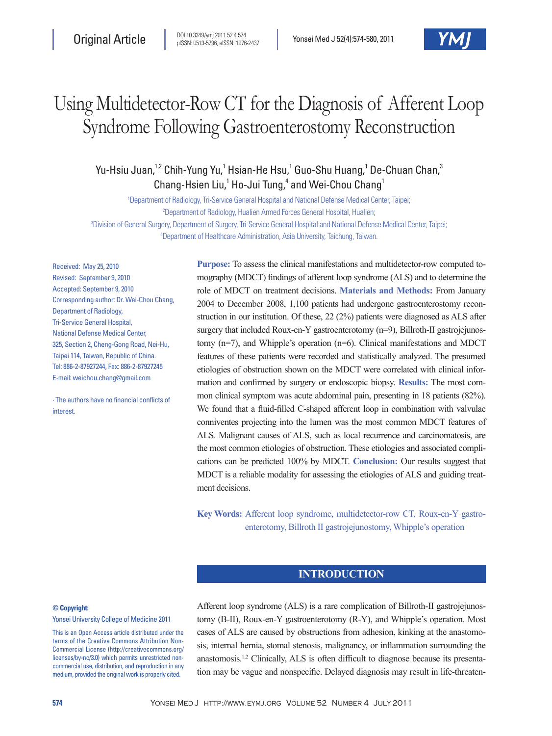# Using Multidetector-Row CT for the Diagnosis of Afferent Loop Syndrome Following Gastroenterostomy Reconstruction

Yu-Hsiu Juan,<sup>1,2</sup> Chih-Yung Yu,<sup>1</sup> Hsian-He Hsu,<sup>1</sup> Guo-Shu Huang,<sup>1</sup> De-Chuan Chan,<sup>3</sup> Chang-Hsien Liu,<sup>1</sup> Ho-Jui Tung,<sup>4</sup> and Wei-Chou Chang<sup>1</sup>

1 Department of Radiology, Tri-Service General Hospital and National Defense Medical Center, Taipei; 2 Department of Radiology, Hualien Armed Forces General Hospital, Hualien;

3 Division of General Surgery, Department of Surgery, Tri-Service General Hospital and National Defense Medical Center, Taipei; 4 Department of Healthcare Administration, Asia University, Taichung, Taiwan.

Received: May 25, 2010 Revised: September 9, 2010 Accepted: September 9, 2010 Corresponding author: Dr. Wei-Chou Chang, Department of Radiology, Tri-Service General Hospital, National Defense Medical Center, 325, Section 2, Cheng-Gong Road, Nei-Hu, Taipei 114, Taiwan, Republic of China. Tel: 886-2-87927244, Fax: 886-2-87927245 E-mail: weichou.chang@gmail.com

∙ The authors have no financial conflicts of interest.

**Purpose:** To assess the clinical manifestations and multidetector-row computed tomography (MDCT) findings of afferent loop syndrome (ALS) and to determine the role of MDCT on treatment decisions. **Materials and Methods:** From January 2004 to December 2008, 1,100 patients had undergone gastroenterostomy reconstruction in our institution. Of these, 22 (2%) patients were diagnosed as ALS after surgery that included Roux-en-Y gastroenterotomy (n=9), Billroth-II gastrojejunostomy (n=7), and Whipple's operation (n=6). Clinical manifestations and MDCT features of these patients were recorded and statistically analyzed. The presumed etiologies of obstruction shown on the MDCT were correlated with clinical information and confirmed by surgery or endoscopic biopsy. **Results:** The most common clinical symptom was acute abdominal pain, presenting in 18 patients (82%). We found that a fluid-filled C-shaped afferent loop in combination with valvulae conniventes projecting into the lumen was the most common MDCT features of ALS. Malignant causes of ALS, such as local recurrence and carcinomatosis, are the most common etiologies of obstruction. These etiologies and associated complications can be predicted 100% by MDCT. **Conclusion:** Our results suggest that MDCT is a reliable modality for assessing the etiologies of ALS and guiding treatment decisions.

**Key Words:** Afferent loop syndrome, multidetector-row CT, Roux-en-Y gastroenterotomy, Billroth II gastrojejunostomy, Whipple's operation

# **INTRODUCTION**

#### **© Copyright:**

Yonsei University College of Medicine 2011

This is an Open Access article distributed under the terms of the Creative Commons Attribution Non-Commercial License (http://creativecommons.org/ licenses/by-nc/3.0) which permits unrestricted noncommercial use, distribution, and reproduction in any medium, provided the original work is properly cited.

Afferent loop syndrome (ALS) is a rare complication of Billroth-II gastrojejunostomy (B-II), Roux-en-Y gastroenterotomy (R-Y), and Whipple's operation. Most cases of ALS are caused by obstructions from adhesion, kinking at the anastomosis, internal hernia, stomal stenosis, malignancy, or inflammation surrounding the anastomosis.1,2 Clinically, ALS is often difficult to diagnose because its presentation may be vague and nonspecific. Delayed diagnosis may result in life-threaten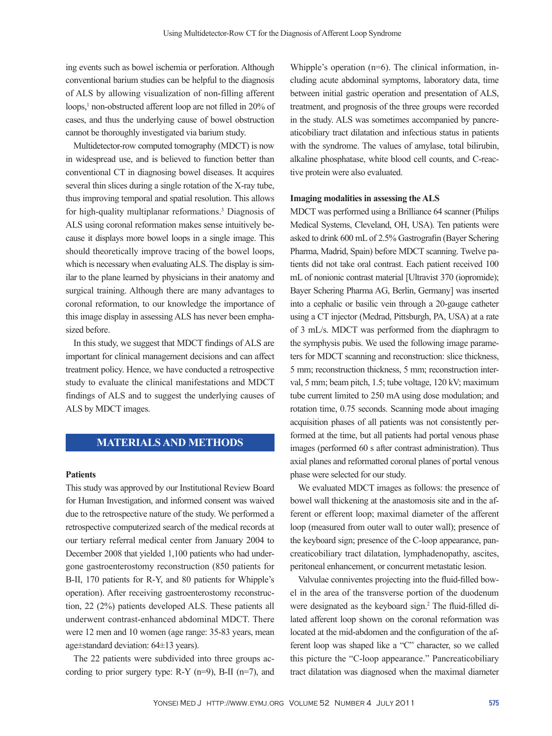ing events such as bowel ischemia or perforation. Although conventional barium studies can be helpful to the diagnosis of ALS by allowing visualization of non-filling afferent loops,<sup>1</sup> non-obstructed afferent loop are not filled in 20% of cases, and thus the underlying cause of bowel obstruction cannot be thoroughly investigated via barium study.

Multidetector-row computed tomography (MDCT) is now in widespread use, and is believed to function better than conventional CT in diagnosing bowel diseases. It acquires several thin slices during a single rotation of the X-ray tube, thus improving temporal and spatial resolution. This allows for high-quality multiplanar reformations.3 Diagnosis of ALS using coronal reformation makes sense intuitively because it displays more bowel loops in a single image. This should theoretically improve tracing of the bowel loops, which is necessary when evaluating ALS. The display is similar to the plane learned by physicians in their anatomy and surgical training. Although there are many advantages to coronal reformation, to our knowledge the importance of this image display in assessing ALS has never been emphasized before.

In this study, we suggest that MDCT findings of ALS are important for clinical management decisions and can affect treatment policy. Hence, we have conducted a retrospective study to evaluate the clinical manifestations and MDCT findings of ALS and to suggest the underlying causes of ALS by MDCT images.

## **MATERIALS AND METHODS**

#### **Patients**

This study was approved by our Institutional Review Board for Human Investigation, and informed consent was waived due to the retrospective nature of the study. We performed a retrospective computerized search of the medical records at our tertiary referral medical center from January 2004 to December 2008 that yielded 1,100 patients who had undergone gastroenterostomy reconstruction (850 patients for B-II, 170 patients for R-Y, and 80 patients for Whipple's operation). After receiving gastroenterostomy reconstruction, 22 (2%) patients developed ALS. These patients all underwent contrast-enhanced abdominal MDCT. There were 12 men and 10 women (age range: 35-83 years, mean age±standard deviation: 64±13 years).

The 22 patients were subdivided into three groups according to prior surgery type:  $R-Y$  (n=9), B-II (n=7), and

Whipple's operation (n=6). The clinical information, including acute abdominal symptoms, laboratory data, time between initial gastric operation and presentation of ALS, treatment, and prognosis of the three groups were recorded in the study. ALS was sometimes accompanied by pancreaticobiliary tract dilatation and infectious status in patients with the syndrome. The values of amylase, total bilirubin, alkaline phosphatase, white blood cell counts, and C-reactive protein were also evaluated.

#### **Imaging modalities in assessing the ALS**

MDCT was performed using a Brilliance 64 scanner (Philips Medical Systems, Cleveland, OH, USA). Ten patients were asked to drink 600 mL of 2.5% Gastrografin (Bayer Schering Pharma, Madrid, Spain) before MDCT scanning. Twelve patients did not take oral contrast. Each patient received 100 mL of nonionic contrast material [Ultravist 370 (iopromide); Bayer Schering Pharma AG, Berlin, Germany] was inserted into a cephalic or basilic vein through a 20-gauge catheter using a CT injector (Medrad, Pittsburgh, PA, USA) at a rate of 3 mL/s. MDCT was performed from the diaphragm to the symphysis pubis. We used the following image parameters for MDCT scanning and reconstruction: slice thickness, 5 mm; reconstruction thickness, 5 mm; reconstruction interval, 5 mm; beam pitch, 1.5; tube voltage, 120 kV; maximum tube current limited to 250 mA using dose modulation; and rotation time, 0.75 seconds. Scanning mode about imaging acquisition phases of all patients was not consistently performed at the time, but all patients had portal venous phase images (performed 60 s after contrast administration). Thus axial planes and reformatted coronal planes of portal venous phase were selected for our study.

We evaluated MDCT images as follows: the presence of bowel wall thickening at the anastomosis site and in the afferent or efferent loop; maximal diameter of the afferent loop (measured from outer wall to outer wall); presence of the keyboard sign; presence of the C-loop appearance, pancreaticobiliary tract dilatation, lymphadenopathy, ascites, peritoneal enhancement, or concurrent metastatic lesion.

Valvulae conniventes projecting into the fluid-filled bowel in the area of the transverse portion of the duodenum were designated as the keyboard sign.<sup>2</sup> The fluid-filled dilated afferent loop shown on the coronal reformation was located at the mid-abdomen and the configuration of the afferent loop was shaped like a "C" character, so we called this picture the "C-loop appearance." Pancreaticobiliary tract dilatation was diagnosed when the maximal diameter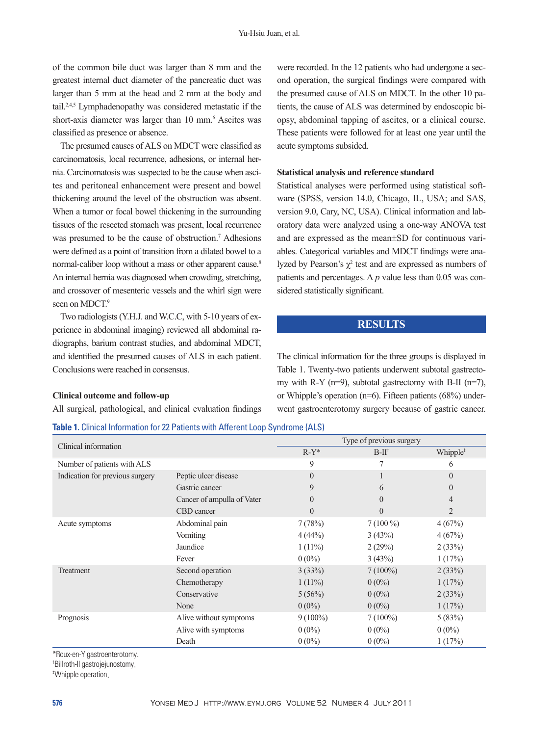of the common bile duct was larger than 8 mm and the greatest internal duct diameter of the pancreatic duct was larger than 5 mm at the head and 2 mm at the body and tail.2,4,5 Lymphadenopathy was considered metastatic if the short-axis diameter was larger than 10 mm.<sup>6</sup> Ascites was classified as presence or absence.

The presumed causes of ALS on MDCT were classified as carcinomatosis, local recurrence, adhesions, or internal hernia. Carcinomatosis was suspected to be the cause when ascites and peritoneal enhancement were present and bowel thickening around the level of the obstruction was absent. When a tumor or focal bowel thickening in the surrounding tissues of the resected stomach was present, local recurrence was presumed to be the cause of obstruction.<sup>7</sup> Adhesions were defined as a point of transition from a dilated bowel to a normal-caliber loop without a mass or other apparent cause.<sup>8</sup> An internal hernia was diagnosed when crowding, stretching, and crossover of mesenteric vessels and the whirl sign were seen on MDCT.<sup>9</sup>

Two radiologists (Y.H.J. and W.C.C, with 5-10 years of experience in abdominal imaging) reviewed all abdominal radiographs, barium contrast studies, and abdominal MDCT, and identified the presumed causes of ALS in each patient. Conclusions were reached in consensus.

#### **Clinical outcome and follow-up**

All surgical, pathological, and clinical evaluation findings

**Table 1.** Clinical Information for 22 Patients with Afferent Loop Syndrome (ALS)

were recorded. In the 12 patients who had undergone a second operation, the surgical findings were compared with the presumed cause of ALS on MDCT. In the other 10 patients, the cause of ALS was determined by endoscopic biopsy, abdominal tapping of ascites, or a clinical course. These patients were followed for at least one year until the acute symptoms subsided.

#### **Statistical analysis and reference standard**

Statistical analyses were performed using statistical software (SPSS, version 14.0, Chicago, IL, USA; and SAS, version 9.0, Cary, NC, USA). Clinical information and laboratory data were analyzed using a one-way ANOVA test and are expressed as the mean±SD for continuous variables. Categorical variables and MDCT findings were analyzed by Pearson's  $\chi^2$  test and are expressed as numbers of patients and percentages. A *p* value less than 0.05 was considered statistically significant.

#### **RESULTS**

The clinical information for the three groups is displayed in Table 1. Twenty-two patients underwent subtotal gastrectomy with R-Y ( $n=9$ ), subtotal gastrectomy with B-II ( $n=7$ ), or Whipple's operation (n=6). Fifteen patients (68%) underwent gastroenterotomy surgery because of gastric cancer.

|                                 |                            | Type of previous surgery |                      |                |  |
|---------------------------------|----------------------------|--------------------------|----------------------|----------------|--|
| Clinical information            | $R-Y^*$                    | $B-II^{\dagger}$         | Whipple <sup>#</sup> |                |  |
| Number of patients with ALS     |                            | 9                        | 7                    | 6              |  |
| Indication for previous surgery | Peptic ulcer disease       | $\theta$                 |                      | $\theta$       |  |
|                                 | Gastric cancer             | 9                        | 6                    | $\overline{0}$ |  |
|                                 | Cancer of ampulla of Vater | $\theta$                 | $\theta$             | $\overline{4}$ |  |
|                                 | CBD cancer                 | $\theta$                 | $\Omega$             | $\overline{2}$ |  |
| Acute symptoms                  | Abdominal pain             | 7(78%)                   | $7(100\%)$           | 4(67%)         |  |
|                                 | Vomiting                   | 4(44%)                   | 3(43%)               | 4(67%)         |  |
|                                 | Jaundice                   | $1(11\%)$                | 2(29%)               | 2(33%)         |  |
|                                 | Fever                      | $0(0\%)$                 | 3(43%)               | 1(17%)         |  |
| Treatment                       | Second operation           | 3(33%)                   | $7(100\%)$           | 2(33%)         |  |
|                                 | Chemotherapy               | $1(11\%)$                | $0(0\%)$             | 1(17%)         |  |
|                                 | Conservative               | 5(56%)                   | $0(0\%)$             | 2(33%)         |  |
|                                 | None                       | $0(0\%)$                 | $0(0\%)$             | 1(17%)         |  |
| Prognosis                       | Alive without symptoms     | $9(100\%)$               | $7(100\%)$           | 5(83%)         |  |
|                                 | Alive with symptoms        | $0(0\%)$                 | $0(0\%)$             | $0(0\%)$       |  |
|                                 | Death                      | $0(0\%)$                 | $0(0\%)$             | 1(17%)         |  |

\*Roux-en-Y gastroenterotomy.

† Billroth-II gastrojejunostomy.

‡ Whipple operation.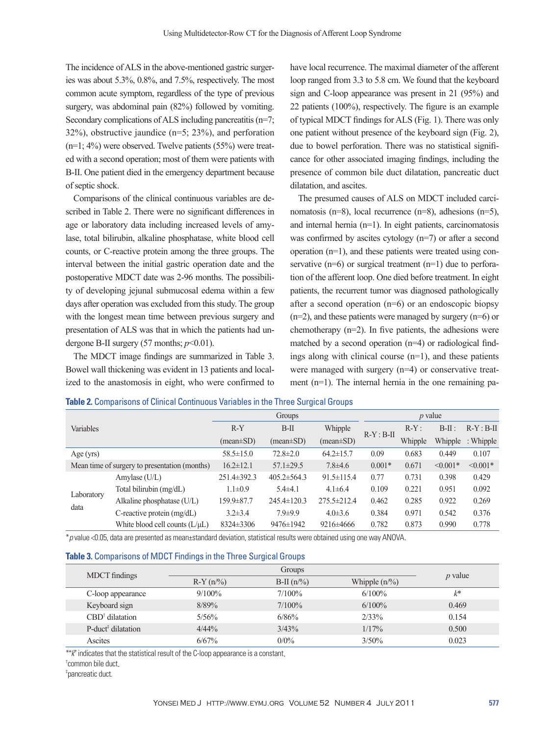The incidence of ALS in the above-mentioned gastric surgeries was about 5.3%, 0.8%, and 7.5%, respectively. The most common acute symptom, regardless of the type of previous surgery, was abdominal pain (82%) followed by vomiting. Secondary complications of ALS including pancreatitis (n=7; 32%), obstructive jaundice (n=5; 23%), and perforation (n=1; 4%) were observed. Twelve patients (55%) were treated with a second operation; most of them were patients with B-II. One patient died in the emergency department because of septic shock.

Comparisons of the clinical continuous variables are described in Table 2. There were no significant differences in age or laboratory data including increased levels of amylase, total bilirubin, alkaline phosphatase, white blood cell counts, or C-reactive protein among the three groups. The interval between the initial gastric operation date and the postoperative MDCT date was 2-96 months. The possibility of developing jejunal submucosal edema within a few days after operation was excluded from this study. The group with the longest mean time between previous surgery and presentation of ALS was that in which the patients had undergone B-II surgery  $(57$  months;  $p<0.01$ ).

The MDCT image findings are summarized in Table 3. Bowel wall thickening was evident in 13 patients and localized to the anastomosis in eight, who were confirmed to

have local recurrence. The maximal diameter of the afferent loop ranged from 3.3 to 5.8 cm. We found that the keyboard sign and C-loop appearance was present in 21 (95%) and 22 patients (100%), respectively. The figure is an example of typical MDCT findings for ALS (Fig. 1). There was only one patient without presence of the keyboard sign (Fig. 2), due to bowel perforation. There was no statistical significance for other associated imaging findings, including the presence of common bile duct dilatation, pancreatic duct dilatation, and ascites.

The presumed causes of ALS on MDCT included carcinomatosis (n=8), local recurrence (n=8), adhesions (n=5), and internal hernia (n=1). In eight patients, carcinomatosis was confirmed by ascites cytology (n=7) or after a second operation (n=1), and these patients were treated using conservative  $(n=6)$  or surgical treatment  $(n=1)$  due to perforation of the afferent loop. One died before treatment. In eight patients, the recurrent tumor was diagnosed pathologically after a second operation (n=6) or an endoscopic biopsy (n=2), and these patients were managed by surgery (n=6) or chemotherapy  $(n=2)$ . In five patients, the adhesions were matched by a second operation (n=4) or radiological findings along with clinical course (n=1), and these patients were managed with surgery (n=4) or conservative treatment (n=1). The internal hernia in the one remaining pa-

|  |  | Table 2. Comparisons of Clinical Continuous Variables in the Three Surgical Groups |
|--|--|------------------------------------------------------------------------------------|
|  |  |                                                                                    |

| Variables                                     |                                 | Groups                 |                               |                   | $p$ value    |         |            |               |
|-----------------------------------------------|---------------------------------|------------------------|-------------------------------|-------------------|--------------|---------|------------|---------------|
|                                               |                                 | $R-Y$                  | $B-II$                        | Whipple           |              | $R-Y$ : | $B-II$ :   | $R-Y : B-II$  |
|                                               |                                 | $(\text{mean} \pm SD)$ | $(\text{mean} \pm \text{SD})$ | $(mean \pm SD)$   | $R-Y : B-II$ | Whipple | Whipple    | $:$ Whipple   |
| Age (yrs)                                     |                                 | $58.5 \pm 15.0$        | $72.8 \pm 2.0$                | $64.2 \pm 15.7$   | 0.09         | 0.683   | 0.449      | 0.107         |
| Mean time of surgery to presentation (months) |                                 | $16.2 \pm 12.1$        | $57.1 \pm 29.5$               | $7.8 \pm 4.6$     | $0.001*$     | 0.671   | $< 0.001*$ | $\leq 0.001*$ |
| Laboratory<br>data                            | Amylase $(U/L)$                 | $251.4 \pm 392.3$      | $405.2 \pm 564.3$             | $91.5 \pm 115.4$  | 0.77         | 0.731   | 0.398      | 0.429         |
|                                               | Total bilirubin (mg/dL)         | $1.1 \pm 0.9$          | $5.4\pm4.1$                   | $4.1 \pm 6.4$     | 0.109        | 0.221   | 0.951      | 0.092         |
|                                               | Alkaline phosphatase (U/L)      | 159.9±87.7             | $245.4 \pm 120.3$             | $275.5 \pm 212.4$ | 0.462        | 0.285   | 0.922      | 0.269         |
|                                               | C-reactive protein $(mg/dL)$    | $3.2\pm3.4$            | $7.9 \pm 9.9$                 | $4.0\pm3.6$       | 0.384        | 0.971   | 0.542      | 0.376         |
|                                               | White blood cell counts $(L/L)$ | $8324 \pm 3306$        | 9476±1942                     | 9216±4666         | 0.782        | 0.873   | 0.990      | 0.778         |

\**p* value <0.05, data are presented as mean±standard deviation, statistical results were obtained using one way ANOVA.

#### **Table 3.** Comparisons of MDCT Findings in the Three Surgical Groups

| <b>MDCT</b> findings           |             |              |                  |           |
|--------------------------------|-------------|--------------|------------------|-----------|
|                                | $R-Y(n/\%)$ | $B-II (n\%)$ | Whipple $(n/\%)$ | $p$ value |
| C-loop appearance              | $9/100\%$   | $7/100\%$    | $6/100\%$        | k*        |
| Keyboard sign                  | 8/89%       | $7/100\%$    | $6/100\%$        | 0.469     |
| $CBD^{\dagger}$ dilatation     | 5/56%       | 6/86%        | 2/33%            | 0.154     |
| P-duct <sup>#</sup> dilatation | $4/44\%$    | 3/43%        | $1/17\%$         | 0.500     |
| Ascites                        | 6/67%       | $0/0\%$      | $3/50\%$         | 0.023     |

\*"*k*" indicates that the statistical result of the C-loop appearance is a constant.

‡ pancreatic duct.

<sup>†</sup> common bile duct.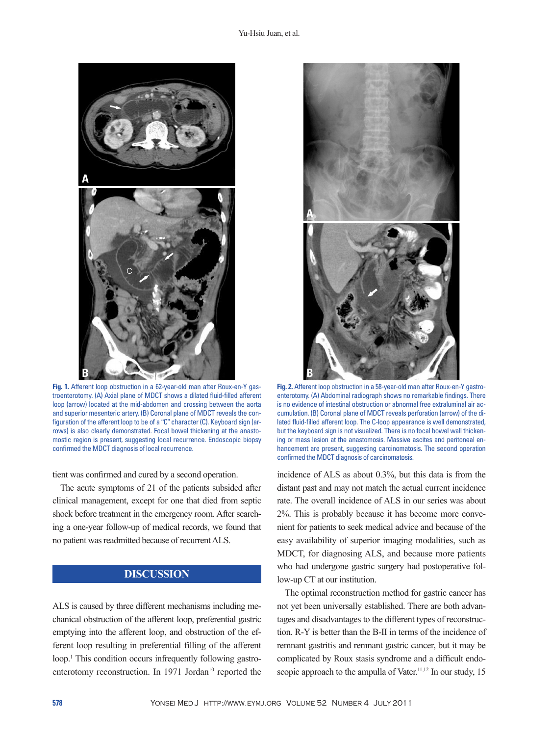

**Fig. 1.** Afferent loop obstruction in a 62-year-old man after Roux-en-Y gastroenterotomy. (A) Axial plane of MDCT shows a dilated fluid-filled afferent loop (arrow) located at the mid-abdomen and crossing between the aorta and superior mesenteric artery. (B) Coronal plane of MDCT reveals the configuration of the afferent loop to be of a "C" character (C). Keyboard sign (arrows) is also clearly demonstrated. Focal bowel thickening at the anastomostic region is present, suggesting local recurrence. Endoscopic biopsy confirmed the MDCT diagnosis of local recurrence.

tient was confirmed and cured by a second operation.

The acute symptoms of 21 of the patients subsided after clinical management, except for one that died from septic shock before treatment in the emergency room. After searching a one-year follow-up of medical records, we found that no patient was readmitted because of recurrent ALS.

# **DISCUSSION**

ALS is caused by three different mechanisms including mechanical obstruction of the afferent loop, preferential gastric emptying into the afferent loop, and obstruction of the efferent loop resulting in preferential filling of the afferent loop.<sup>1</sup> This condition occurs infrequently following gastroenterotomy reconstruction. In 1971 Jordan<sup>10</sup> reported the



**Fig. 2.** Afferent loop obstruction in a 58-year-old man after Roux-en-Y gastroenterotomy. (A) Abdominal radiograph shows no remarkable findings. There is no evidence of intestinal obstruction or abnormal free extraluminal air accumulation. (B) Coronal plane of MDCT reveals perforation (arrow) of the dilated fluid-filled afferent loop. The C-loop appearance is well demonstrated, but the keyboard sign is not visualized. There is no focal bowel wall thickening or mass lesion at the anastomosis. Massive ascites and peritoneal enhancement are present, suggesting carcinomatosis. The second operation confirmed the MDCT diagnosis of carcinomatosis.

incidence of ALS as about 0.3%, but this data is from the distant past and may not match the actual current incidence rate. The overall incidence of ALS in our series was about 2%. This is probably because it has become more convenient for patients to seek medical advice and because of the easy availability of superior imaging modalities, such as MDCT, for diagnosing ALS, and because more patients who had undergone gastric surgery had postoperative follow-up CT at our institution.

The optimal reconstruction method for gastric cancer has not yet been universally established. There are both advantages and disadvantages to the different types of reconstruction. R-Y is better than the B-II in terms of the incidence of remnant gastritis and remnant gastric cancer, but it may be complicated by Roux stasis syndrome and a difficult endoscopic approach to the ampulla of Vater.<sup>11,12</sup> In our study, 15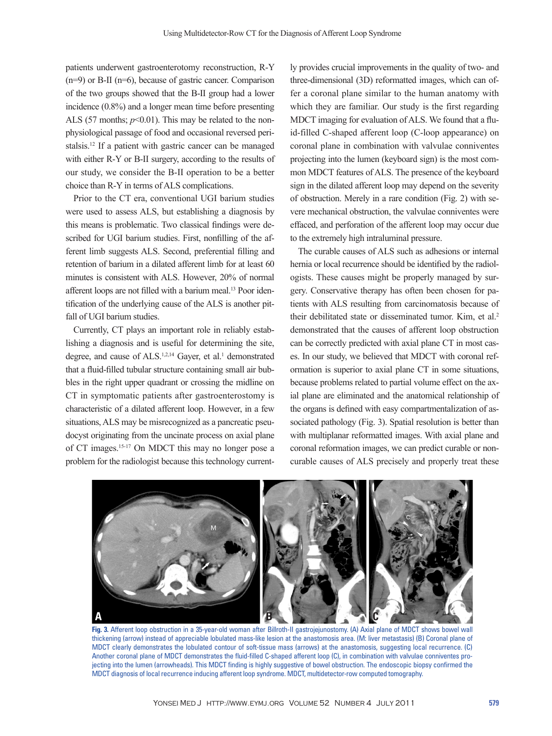patients underwent gastroenterotomy reconstruction, R-Y (n=9) or B-II (n=6), because of gastric cancer. Comparison of the two groups showed that the B-II group had a lower incidence (0.8%) and a longer mean time before presenting ALS (57 months;  $p<0.01$ ). This may be related to the nonphysiological passage of food and occasional reversed peristalsis.12 If a patient with gastric cancer can be managed with either R-Y or B-II surgery, according to the results of our study, we consider the B-II operation to be a better choice than R-Y in terms of ALS complications.

Prior to the CT era, conventional UGI barium studies were used to assess ALS, but establishing a diagnosis by this means is problematic. Two classical findings were described for UGI barium studies. First, nonfilling of the afferent limb suggests ALS. Second, preferential filling and retention of barium in a dilated afferent limb for at least 60 minutes is consistent with ALS. However, 20% of normal afferent loops are not filled with a barium meal.<sup>13</sup> Poor identification of the underlying cause of the ALS is another pitfall of UGI barium studies.

Currently, CT plays an important role in reliably establishing a diagnosis and is useful for determining the site, degree, and cause of ALS.<sup>1,2,14</sup> Gayer, et al.<sup>1</sup> demonstrated that a fluid-filled tubular structure containing small air bubbles in the right upper quadrant or crossing the midline on CT in symptomatic patients after gastroenterostomy is characteristic of a dilated afferent loop. However, in a few situations, ALS may be misrecognized as a pancreatic pseudocyst originating from the uncinate process on axial plane of CT images.15-17 On MDCT this may no longer pose a problem for the radiologist because this technology current-

ly provides crucial improvements in the quality of two- and three-dimensional (3D) reformatted images, which can offer a coronal plane similar to the human anatomy with which they are familiar. Our study is the first regarding MDCT imaging for evaluation of ALS. We found that a fluid-filled C-shaped afferent loop (C-loop appearance) on coronal plane in combination with valvulae conniventes projecting into the lumen (keyboard sign) is the most common MDCT features of ALS. The presence of the keyboard sign in the dilated afferent loop may depend on the severity of obstruction. Merely in a rare condition (Fig. 2) with severe mechanical obstruction, the valvulae conniventes were effaced, and perforation of the afferent loop may occur due to the extremely high intraluminal pressure.

The curable causes of ALS such as adhesions or internal hernia or local recurrence should be identified by the radiologists. These causes might be properly managed by surgery. Conservative therapy has often been chosen for patients with ALS resulting from carcinomatosis because of their debilitated state or disseminated tumor. Kim, et al.2 demonstrated that the causes of afferent loop obstruction can be correctly predicted with axial plane CT in most cases. In our study, we believed that MDCT with coronal reformation is superior to axial plane CT in some situations, because problems related to partial volume effect on the axial plane are eliminated and the anatomical relationship of the organs is defined with easy compartmentalization of associated pathology (Fig. 3). Spatial resolution is better than with multiplanar reformatted images. With axial plane and coronal reformation images, we can predict curable or noncurable causes of ALS precisely and properly treat these



**Fig. 3.** Afferent loop obstruction in a 35-year-old woman after Billroth-II gastrojejunostomy. (A) Axial plane of MDCT shows bowel wall thickening (arrow) instead of appreciable lobulated mass-like lesion at the anastomosis area. (M: liver metastasis) (B) Coronal plane of MDCT clearly demonstrates the lobulated contour of soft-tissue mass (arrows) at the anastomosis, suggesting local recurrence. (C) Another coronal plane of MDCT demonstrates the fluid-filled C-shaped afferent loop (C), in combination with valvulae conniventes projecting into the lumen (arrowheads). This MDCT finding is highly suggestive of bowel obstruction. The endoscopic biopsy confirmed the MDCT diagnosis of local recurrence inducing afferent loop syndrome. MDCT, multidetector-row computed tomography.